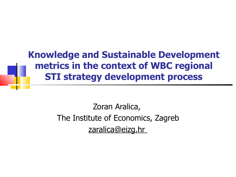**Knowledge and Sustainable Development metrics in the context of WBC regional STI strategy development process**

> Zoran Aralica, The Institute of Economics, Zagreb zaralica@eizg.hr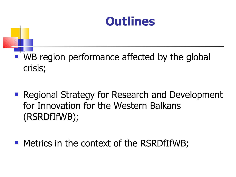

#### WB region performance affected by the global crisis;

- **Regional Strategy for Research and Development** for Innovation for the Western Balkans (RSRDfIfWB);
- **Metrics in the context of the RSRDfIfWB;**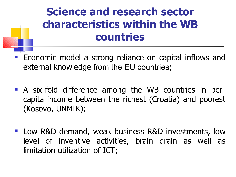#### **Science and research sector characteristics within the WB countries**

- Economic model a strong reliance on capital inflows and external knowledge from the EU countries;
- A six-fold difference among the WB countries in percapita income between the richest (Croatia) and poorest (Kosovo, UNMIK);
- **Low R&D demand, weak business R&D investments, low** level of inventive activities, brain drain as well as limitation utilization of ICT;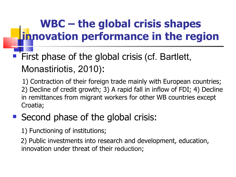## **WBC – the global crisis shapes innovation performance in the region**

#### First phase of the global crisis (cf. Bartlett, Monastiriotis, 2010):

 1) Contraction of their foreign trade mainly with European countries; 2) Decline of credit growth; 3) A rapid fall in inflow of FDI; 4) Decline in remittances from migrant workers for other WB countries except Croatia;

#### Second phase of the global crisis:

1) Functioning of institutions;

 2) Public investments into research and development, education, innovation under threat of their reduction;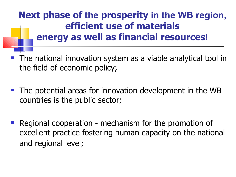#### **Next phase of the prosperity in the WB region, efficient use of materials energy as well as financial resources!**

- The national innovation system as a viable analytical tool in the field of economic policy;
- The potential areas for innovation development in the WB countries is the public sector;
- Regional cooperation mechanism for the promotion of excellent practice fostering human capacity on the national and regional level;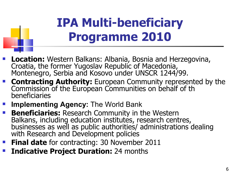# **IPA Multi-beneficiary Programme 2010**

- **Location:** Western Balkans: Albania, Bosnia and Herzegovina, Croatia, the former Yugoslav Republic of Macedonia, Montenegro, Serbia and Kosovo under UNSCR 1244/99.
- **Contracting Authority:** European Community represented by the Commission of the European Communities on behalf of th beneficiaries
- **Implementing Agency:** The World Bank
- **Beneficiaries:** Research Community in the Western Balkans, including education institutes, research centres, businesses as well as public authorities/ administrations dealing with Research and Development policies
- **Final date** for contracting: 30 November 2011
- **Indicative Project Duration:** 24 months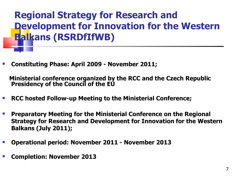**Regional Strategy for Research and Development for Innovation for the Western Balkans (RSRDfIfWB)**

**Constituting Phase: April 2009 - November 2011;**

 **Ministerial conference organized by the RCC and the Czech Republic Presidency of the Council of the EU** 

- **RCC hosted Follow-up Meeting to the Ministerial Conference;**
- **Preparatory Meeting for the Ministerial Conference on the Regional Strategy for Research and Development for Innovation for the Western Balkans (July 2011);**
- **Operational period: November 2011 - November 2013**
- **Completion: November 2013**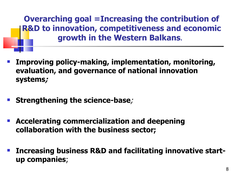**Overarching goal =Increasing the contribution of R&D to innovation, competitiveness and economic growth in the Western Balkans**.

- **Improving policy-making, implementation, monitoring, evaluation, and governance of national innovation systems;**
- **Strengthening the science-base**;
- **Accelerating commercialization and deepening collaboration with the business sector;**
- **Increasing business R&D and facilitating innovative startup companies**;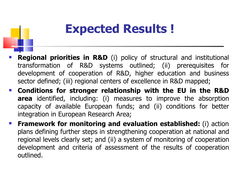## **Expected Results !**

- **Regional priorities in R&D** (i) policy of structural and institutional transformation of R&D systems outlined; (ii) prerequisites for development of cooperation of R&D, higher education and business sector defined; (iii) regional centers of excellence in R&D mapped;
- **Conditions for stronger relationship with the EU in the R&D area** identified, including: (i) measures to improve the absorption capacity of available European funds; and (ii) conditions for better integration in European Research Area;
- **Framework for monitoring and evaluation established:** (i) action plans defining further steps in strengthening cooperation at national and regional levels clearly set; and (ii) a system of monitoring of cooperation development and criteria of assessment of the results of cooperation outlined.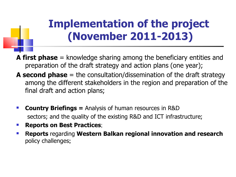## **Implementation of the project (November 2011-2013)**

**A first phase** = knowledge sharing among the beneficiary entities and preparation of the draft strategy and action plans (one year);

- **A second phase** = the consultation/dissemination of the draft strategy among the different stakeholders in the region and preparation of the final draft and action plans;
- **Country Briefings =** Analysis of human resources in R&D sectors; and the quality of the existing R&D and ICT infrastructure;
- **Reports on Best Practices;**
- **Reports** regarding **Western Balkan regional innovation and research**  policy challenges**;**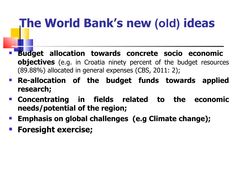# **The World Bank's new (old) ideas**

- **Budget allocation towards concrete socio economic objectives** (e.g. in Croatia ninety percent of the budget resources (89.88%) allocated in general expenses (CBS, 2011: 2);
- **Re-allocation of the budget funds towards applied research;**
- **Concentrating in fields related to the economic needs/potential of the region;**
- **Emphasis on global challenges (e.g Climate change);**
- **Foresight exercise;**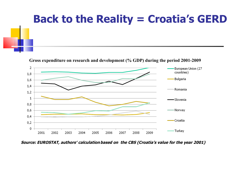# **Back to the Reality = Croatia's GERD**

**Gross expenditure on research and development (% GDP) during the period 2001-2009**



 **Source: EUROSTAT, authors′ calculationbased on the CBS (Croatia's value for the year 2001)**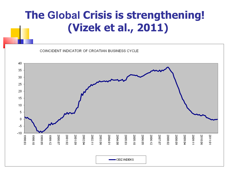#### **The Global Crisis is strengthening! (Vizek et al., 2011)**

COINCIDENT INDICATOR OF CROATIAN BUSINESS CYCLE